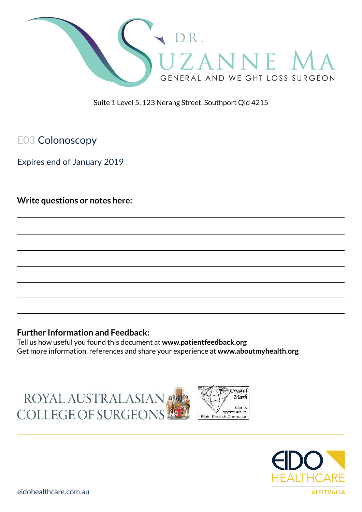

Suite 1 Level 5, 123 Nerang Street, Southport Qld 4215

# E03 Colonoscopy

Expires end of January 2019

**Write questions or notes here:**

### **Further Information and Feedback:**

Tell us how useful you found this document at **www.patientfeedback.org** Get more information, references and share your experience at **www.aboutmyhealth.org**

ROYAL AUSTRALASIAN COLLEGE OF SURGEONS



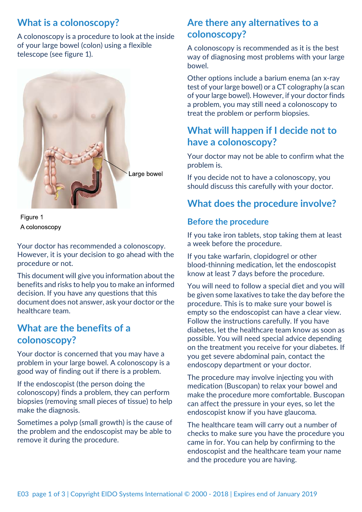# **What is a colonoscopy?**

A colonoscopy is a procedure to look at the inside of your large bowel (colon) using a flexible telescope (see figure 1).



Figure 1 A colonoscopy

Your doctor has recommended a colonoscopy. However, it is your decision to go ahead with the procedure or not.

This document will give you information about the benefits and risks to help you to make an informed decision. If you have any questions that this document does not answer, ask your doctor or the healthcare team.

### **What are the benefits of a colonoscopy?**

Your doctor is concerned that you may have a problem in your large bowel. A colonoscopy is a good way of finding out if there is a problem.

If the endoscopist (the person doing the colonoscopy) finds a problem, they can perform biopsies (removing small pieces of tissue) to help make the diagnosis.

Sometimes a polyp (small growth) is the cause of the problem and the endoscopist may be able to remove it during the procedure.

## **Are there any alternatives to a colonoscopy?**

A colonoscopy is recommended as it is the best way of diagnosing most problems with your large bowel.

Other options include a barium enema (an x-ray test of your large bowel) or a CT colography (a scan of your large bowel). However, if your doctor finds a problem, you may still need a colonoscopy to treat the problem or perform biopsies.

# **What will happen if I decide not to have a colonoscopy?**

Your doctor may not be able to confirm what the problem is.

If you decide not to have a colonoscopy, you should discuss this carefully with your doctor.

# **What does the procedure involve?**

### **Before the procedure**

If you take iron tablets, stop taking them at least a week before the procedure.

If you take warfarin, clopidogrel or other blood-thinning medication, let the endoscopist know at least 7 days before the procedure.

You will need to follow a special diet and you will be given some laxatives to take the day before the procedure. This is to make sure your bowel is empty so the endoscopist can have a clear view. Follow the instructions carefully. If you have diabetes, let the healthcare team know as soon as possible. You will need special advice depending on the treatment you receive for your diabetes. If you get severe abdominal pain, contact the endoscopy department or your doctor.

The procedure may involve injecting you with medication (Buscopan) to relax your bowel and make the procedure more comfortable. Buscopan can affect the pressure in your eyes, so let the endoscopist know if you have glaucoma.

The healthcare team will carry out a number of checks to make sure you have the procedure you came in for. You can help by confirming to the endoscopist and the healthcare team your name and the procedure you are having.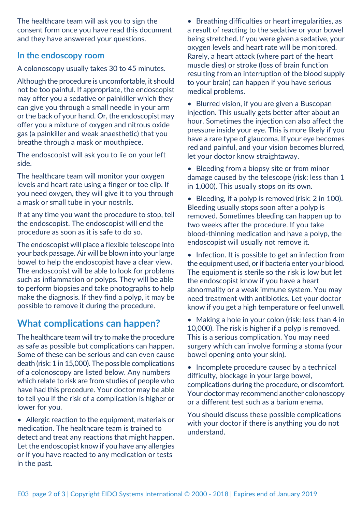The healthcare team will ask you to sign the consent form once you have read this document and they have answered your questions.

#### **In the endoscopy room**

A colonoscopy usually takes 30 to 45 minutes.

Although the procedure is uncomfortable, it should not be too painful. If appropriate, the endoscopist may offer you a sedative or painkiller which they can give you through a small needle in your arm or the back of your hand. Or, the endoscopist may offer you a mixture of oxygen and nitrous oxide gas (a painkiller and weak anaesthetic) that you breathe through a mask or mouthpiece.

The endoscopist will ask you to lie on your left side.

The healthcare team will monitor your oxygen levels and heart rate using a finger or toe clip. If you need oxygen, they will give it to you through a mask or small tube in your nostrils.

If at any time you want the procedure to stop, tell the endoscopist. The endoscopist will end the procedure as soon as it is safe to do so.

The endoscopist will place a flexible telescope into your back passage. Air will be blown into your large bowel to help the endoscopist have a clear view. The endoscopist will be able to look for problems such as inflammation or polyps. They will be able to perform biopsies and take photographs to help make the diagnosis. If they find a polyp, it may be possible to remove it during the procedure.

# **What complications can happen?**

The healthcare team will try to make the procedure as safe as possible but complications can happen. Some of these can be serious and can even cause death (risk: 1 in 15,000). The possible complications of a colonoscopy are listed below. Any numbers which relate to risk are from studies of people who have had this procedure. Your doctor may be able to tell you if the risk of a complication is higher or lower for you.

• Allergic reaction to the equipment, materials or medication. The healthcare team is trained to detect and treat any reactions that might happen. Let the endoscopist know if you have any allergies or if you have reacted to any medication or tests in the past.

• Breathing difficulties or heart irregularities, as a result of reacting to the sedative or your bowel being stretched. If you were given a sedative, your oxygen levels and heart rate will be monitored. Rarely, a heart attack (where part of the heart muscle dies) or stroke (loss of brain function resulting from an interruption of the blood supply to your brain) can happen if you have serious medical problems.

• Blurred vision, if you are given a Buscopan injection. This usually gets better after about an hour. Sometimes the injection can also affect the pressure inside your eye. This is more likely if you have a rare type of glaucoma. If your eye becomes red and painful, and your vision becomes blurred, let your doctor know straightaway.

• Bleeding from a biopsy site or from minor damage caused by the telescope (risk: less than 1 in 1,000). This usually stops on its own.

• Bleeding, if a polyp is removed (risk: 2 in 100). Bleeding usually stops soon after a polyp is removed. Sometimes bleeding can happen up to two weeks after the procedure. If you take blood-thinning medication and have a polyp, the endoscopist will usually not remove it.

• Infection. It is possible to get an infection from the equipment used, or if bacteria enter your blood. The equipment is sterile so the risk is low but let the endoscopist know if you have a heart abnormality or a weak immune system. You may need treatment with antibiotics. Let your doctor know if you get a high temperature or feel unwell.

• Making a hole in your colon (risk: less than 4 in 10,000). The risk is higher if a polyp is removed. This is a serious complication. You may need surgery which can involve forming a stoma (your bowel opening onto your skin).

• Incomplete procedure caused by a technical difficulty, blockage in your large bowel, complications during the procedure, or discomfort. Your doctor may recommend another colonoscopy or a different test such as a barium enema.

You should discuss these possible complications with your doctor if there is anything you do not understand.